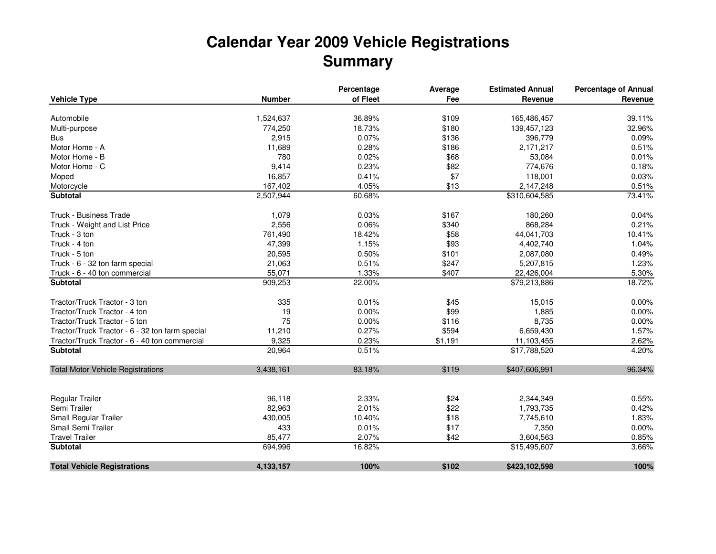## **Calendar Year 2009 Vehicle RegistrationsSummary**

|                                                 |               | Percentage | Average | <b>Estimated Annual</b> | <b>Percentage of Annual</b> |
|-------------------------------------------------|---------------|------------|---------|-------------------------|-----------------------------|
| <b>Vehicle Type</b>                             | <b>Number</b> | of Fleet   | Fee     | Revenue                 | Revenue                     |
| Automobile                                      | 1,524,637     | 36.89%     | \$109   | 165,486,457             | 39.11%                      |
| Multi-purpose                                   | 774,250       | 18.73%     | \$180   | 139,457,123             | 32.96%                      |
| <b>Bus</b>                                      | 2,915         | 0.07%      | \$136   | 396,779                 | 0.09%                       |
| Motor Home - A                                  | 11,689        | 0.28%      | \$186   | 2,171,217               | 0.51%                       |
| Motor Home - B                                  | 780           | 0.02%      | \$68    | 53,084                  | 0.01%                       |
| Motor Home - C                                  | 9,414         | 0.23%      | \$82    | 774,676                 | 0.18%                       |
| Moped                                           | 16,857        | 0.41%      | \$7     | 118,001                 | 0.03%                       |
| Motorcycle                                      | 167,402       | 4.05%      | \$13    | 2,147,248               | 0.51%                       |
| <b>Subtotal</b>                                 | 2,507,944     | 60.68%     |         | \$310,604,585           | 73.41%                      |
| Truck - Business Trade                          | 1,079         | 0.03%      | \$167   | 180,260                 | 0.04%                       |
| Truck - Weight and List Price                   | 2,556         | 0.06%      | \$340   | 868,284                 | 0.21%                       |
| Truck - 3 ton                                   | 761,490       | 18.42%     | \$58    | 44,041,703              | 10.41%                      |
| Truck - 4 ton                                   | 47,399        | 1.15%      | \$93    | 4,402,740               | 1.04%                       |
| Truck - 5 ton                                   | 20,595        | 0.50%      | \$101   | 2,087,080               | 0.49%                       |
| Truck - 6 - 32 ton farm special                 | 21,063        | 0.51%      | \$247   | 5,207,815               | 1.23%                       |
| Truck - 6 - 40 ton commercial                   | 55,071        | 1.33%      | \$407   | 22,426,004              | 5.30%                       |
| <b>Subtotal</b>                                 | 909,253       | 22.00%     |         | \$79,213,886            | 18.72%                      |
| Tractor/Truck Tractor - 3 ton                   | 335           | 0.01%      | \$45    | 15,015                  | 0.00%                       |
| Tractor/Truck Tractor - 4 ton                   | 19            | 0.00%      | \$99    | 1,885                   | 0.00%                       |
| Tractor/Truck Tractor - 5 ton                   | 75            | 0.00%      | \$116   | 8,735                   | 0.00%                       |
| Tractor/Truck Tractor - 6 - 32 ton farm special | 11,210        | 0.27%      | \$594   | 6,659,430               | 1.57%                       |
| Tractor/Truck Tractor - 6 - 40 ton commercial   | 9,325         | 0.23%      | \$1,191 | 11,103,455              | 2.62%                       |
| <b>Subtotal</b>                                 | 20,964        | 0.51%      |         | \$17,788,520            | 4.20%                       |
| <b>Total Motor Vehicle Registrations</b>        | 3,438,161     | 83.18%     | \$119   | \$407,606,991           | 96.34%                      |
| Regular Trailer                                 | 96,118        | 2.33%      | \$24    | 2,344,349               | 0.55%                       |
| Semi Trailer                                    | 82,963        | 2.01%      | \$22    | 1,793,735               | 0.42%                       |
| Small Regular Trailer                           | 430,005       | 10.40%     | \$18    | 7,745,610               | 1.83%                       |
| Small Semi Trailer                              | 433           | 0.01%      | \$17    | 7,350                   | 0.00%                       |
| <b>Travel Trailer</b>                           | 85,477        | 2.07%      | \$42    | 3,604,563               | 0.85%                       |
| <b>Subtotal</b>                                 | 694,996       | 16.82%     |         | \$15,495,607            | 3.66%                       |
| <b>Total Vehicle Registrations</b>              | 4,133,157     | 100%       | \$102   | \$423,102,598           | 100%                        |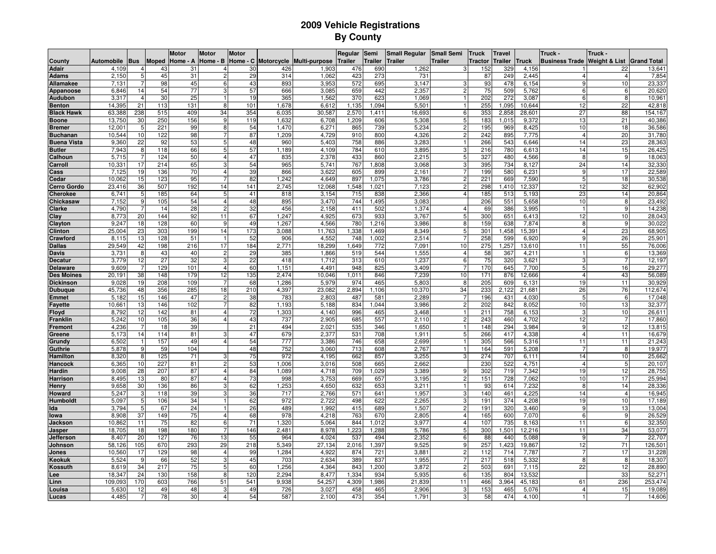## **2009 Vehicle RegistrationsBy County**

|                      |                 |                 |              | <b>Motor</b> | <b>Motor</b>   | <b>Motor</b>    |            |                                   | Regular        | Semi           | <b>Small Regular</b> | <b>Small Semi</b> | <b>Truck</b> | <b>Travel</b>   |                | Truck -               | Truck -                  |                    |
|----------------------|-----------------|-----------------|--------------|--------------|----------------|-----------------|------------|-----------------------------------|----------------|----------------|----------------------|-------------------|--------------|-----------------|----------------|-----------------------|--------------------------|--------------------|
| County               | Automobile      | <b>Bus</b>      | <b>Moped</b> | Home - A     | Home - B       |                 |            | Home - C Motorcycle Multi-purpose | <b>Trailer</b> | <b>Trailer</b> | <b>Trailer</b>       | Trailer           | Tractor      | Trailer         | Truck          | <b>Business Trade</b> | <b>Weight &amp; List</b> | <b>Grand Total</b> |
| <b>Adair</b>         | 4,109           |                 | 43           | 31           |                | 30              | 426        | 1,903                             | 476            | 690            | 1,262                |                   | 152          | 329             | 4,156          |                       | 22                       | 13,641             |
| Adams                | 2,150           | 5 <sub>l</sub>  | 45           | 31           |                | 29              | 314        | 1,062                             | 423            | 273            | 731                  |                   | 87           | 249             | 2,445          |                       | $\overline{4}$           | 7,854              |
| Allamakee            | 7,131           |                 | 98           | 45           |                | 43              | 893        | 3,953                             | 572            | 695            | 3,147                | Э                 | 93           | 478             | 6,154          |                       | 10                       | 23,337             |
| Appanoose            | 6,846           | 14              | 54           | 77           |                | 57              | 666        | 3,085                             | 659            | 442            | 2,357                | $\overline{c}$    | 75           | 509             | 5,762          | 6                     | 6                        | 20,620             |
| Audubon              | 3,317           | $\overline{a}$  | 30           | 25           |                | 19              | 365        | 1,562                             | 370            | 623            | 1.069                | 1                 | 202          | 272             | 3,087          | ĥ                     | -8                       | 10,961             |
| <b>Benton</b>        | 14.395          | 21              | 113          | 131          | 8              | 101             | 1.678      | 6,612                             | 1,135          | 1.094          | 5.501                |                   | 255          | 1.095           | 10.644         | 12                    | 22                       | 42,818             |
| <b>Black Hawk</b>    | 63,388          | 238             | 515          | 409          | 34             | 354             | 6,035      | 30,587                            | 2,570          | 1,411          | 16,693               | 6                 | 353          | 2,858           | 28,601         | $\overline{27}$       | 88                       | 154,167            |
| <b>Boone</b>         | 13,750          | 30              | 250          | 156          | $\mathbf{Q}$   | 119             | 1,632      | 6,708                             | 1,209          | 606            | 5,308                | 5                 | 183          | 1,015           | 9,372          | 13                    | 21                       | 40,386             |
| <b>Bremer</b>        | 12,001          | 5               | 221          | 99           | 8              | 54              | 1,470      | 6,271                             | 865            | 739            | 5,234                | $\mathfrak{p}$    | 195          | 969             | 8,425          | 10                    | 18                       | 36,586             |
| <b>Buchanan</b>      | 10,544          | 10              | 122          | 98           |                | 87              | 1,209      | 4,729                             | 910            | 800            | 4,326                | $\overline{c}$    | 242          | 895             | 7,775          | $\overline{4}$        | 20                       | 31,780             |
| <b>Buena Vista</b>   | 9,360           | 22              | 92           | 53           | 5              | 48              | 960        | 5,403                             | 758            | 886            | 3,283                |                   | 266          | 543             | 6,646          | 14                    | 23                       | 28,363             |
| <b>Butler</b>        | 7,943           | 8               | 118          | 66           | 5              | 57              | 1,189      | 4,109                             | 784            | 610            | 3,895                | 3                 | 216          | 780             | 6,61           | 14                    | 15                       | 26,425             |
| Calhoun              | 5,715           |                 | 124          | 50           | $\overline{4}$ | 47              | 835        | 2,378                             | 433            | 860            | 2.215                | 5                 | 327          | 480             | 4,566          | 8                     | 9                        | 18,063             |
| arroll:              | 10.331          | 17<br>19        | 214          | 65<br>70     | 3              | 54<br>39        | 965<br>866 | 5.741<br>3,622                    | 767<br>605     | 1.808          | 3.068<br>2.161       | 3                 | 395          | 734             | 8.127          | 24<br>9               | 14<br>17                 | 32,330<br>22,589   |
| ass:<br><b>Cedar</b> | 7,125<br>10,062 | 15              | 136<br>123   | 95           |                | 82              | 1,242      | 4,649                             | 897            | 899<br>1,075   | 3,786                | $\overline{c}$    | 199<br>221   | 580<br>669      | 6,231<br>7,590 | 5                     | 18                       | 30,538             |
| <b>Cerro Gordo</b>   | 23,416          | 36              | 507          | 192          | 14             | 141             | 2,745      | 12,068                            | 1,548          | 1,021          | 7,123                | $\overline{c}$    | 298          | 1,410           | 12,337         | 12                    | 32                       | 62,902             |
| <b>Cherokee</b>      | 6,741           | 5               | 185          | 64           | 5              | 41              | 818        | 3,154                             | 715            | 838            | 2,366                | $\Delta$          | 185          | 513             | 5,193          | 23                    | 14                       | 20,864             |
| Chickasaw            | 7,152           | 9               | 105          | 54           | $\overline{4}$ | 48              | 895        | 3,470                             | 744            | 1,495          | 3,083                |                   | 206          | 551             | 5,658          | 10                    | 8                        | 23,492             |
| Clarke               | 4,790           |                 | 14           | 28           | $\overline{2}$ | 32              | 456        | 2,158                             | 411            | 502            | 1.374                | 4                 | 69           | 386             | 3,995          |                       | -9                       | 14,238             |
| Clay                 | 8,773           | 20              | 144          | 92           | 11             | 67              | 1,247      | 4,925                             | 673            | 933            | 3,767                | 5                 | 300          | 651             | 6,413          | 12                    | 10                       | 28,043             |
| Clayton              | 9,247           | 18              | 128          | 60           | 9              | 49              | 1,267      | 4,566                             | 780            | 1,216          | 3,986                | 8                 | 159          | 638             | 7,874          | 8                     | 9                        | 30,022             |
| <b>Clinton</b>       | 25,004          | 23              | 303          | 199          | 14             | 173             | 3,088      | 11,763                            | 1,338          | 1,469          | 8,349                | 5                 | 301          | 1,458           | 15.39          | 4                     | 23                       | 68,905             |
| Crawford             | 8,115           | 13              | 128          | 51           |                | 52              | 906        | 4,552                             | 748            | 1,002          | 2,514                | 7                 | 258          | 599             | 6,920          | 9                     | 26                       | 25,901             |
| <b>Dallas</b>        | 29,549          | 42              | 198          | 216          | 17             | 184             | 2,771      | 18,299                            | 1,649          | 772            | 7,091                | 10                | 275          | 1,25            | 13,610         | 11                    | 55                       | 76,006             |
| Davis                | 3,731           | 8               | 43           | 40           | $\overline{2}$ | 29              | 385        | 1,866                             | 519            | 544            | 1,555                | $\overline{4}$    | 58           | 367             | 4,211          |                       | 6                        | 13,369             |
| Decatur              | 3.779           | 12              | 27           | 32           |                | $\overline{22}$ | 418        | 1.712                             | 313            | 610            | 1.237                | 6                 | 75           | 32 <sup>c</sup> | 3,621          | 3                     |                          | 12,197             |
| <b>Delaware</b>      | 9,609           | 7               | 129          | 101          | $\overline{4}$ | 60              | 1,151      | 4,491                             | 948            | 825            | 3,409                | $\overline{7}$    | 170          | 645             | 7,700          | 5                     | 16                       | 29,277             |
| <b>Des Moines</b>    | 20,191          | 38              | 148          | 179          | 12             | 135             | 2,474      | 10,046                            | 1,011          | 846            | 7,239                | 10                | 171          | 876             | 12,666         | $\overline{4}$        | 43                       | 56,089             |
| <b>Dickinson</b>     | 9,028           | 19              | 208          | 109          |                | 68              | 1,286      | 5,979                             | 974            | 465            | 5,803                | 8                 | 205          | 609             | 6,131          | 19                    | 11                       | 30,929             |
| <b>Dubuque</b>       | 45,736          | 48              | 356          | 285          | 18             | 210             | 4,397      | 23,082                            | 2,894          | 1,106          | 10,370               | 34                | 233          | 2,122           | 21,68          | 26                    | 76                       | 112,674            |
| <b>Emmet</b>         | 5,182           | 15              | 146          | 47           | 2              | 38              | 783        | 2,803                             | 487            | 581            | 2,289                | 7                 | 196          | 431             | 4,030          | 5                     | 6                        | 17,048             |
| <b>Fayette</b>       | 10,661          | 13              | 146          | 102          |                | 82              | 1,193      | 5,188                             | 834            | 1,044          | 3,986                | $\overline{2}$    | 202          | 842             | 8,052          | 10                    | 13                       | 32,377             |
| loyd                 | 8,792           | 12              | 142          | 81           | $\overline{4}$ | 72              | 1,303      | 4,140                             | 996            | 465            | 3,468                |                   | 211          | 758             | 6,153          | 3                     | 10                       | 26,611             |
| Franklin             | 5,242           | 10              | 105          | 36           |                | 43              | 737        | 2,905                             | 685            | 557            | 2,110                | $\overline{2}$    | 243          | 460             | 4,702          | 12                    |                          | 17,860             |
| Fremont              | 4,236           |                 | 18           | 39           |                | 21              | 494        | 2,021                             | 535            | 346            | 1.650                |                   | 148          | 294             | 3.984          | 9                     | 12                       | 13,815             |
| Greene               | 5,173           | 14              | 114          | 81           |                | 47              | 679        | 2,377                             | 531            | 708            | 1,911                | 5                 | 266          | 417             | 4,338          | $\overline{4}$        | 11                       | 16,679             |
| Grundy               | 6,502           | 9               | 157          | 49           |                | 54              | 777<br>752 | 3,386                             | 746            | 658            | 2,699<br>2,767       |                   | 305          | 566             | 5,316          | 11                    | 11<br>8                  | 21,243<br>19,977   |
| Guthrie<br>Hamilton  | 5,878<br>8,320  | 8               | 59<br>125    | 104<br>71    | 3              | 48<br>75        | 972        | 3,060<br>4,195                    | 713<br>662     | 608<br>857     | 3,255                | 3                 | 164<br>274   | 591<br>707      | 5,208<br>6,111 | 14                    | 10                       | 25,662             |
| Hancock              | 6,365           | 10              | 227          | 81           |                | 53              | 1,006      | 3,016                             | 508            | 665            | 2.662                |                   | 230          | 522             | 4,751          | $\overline{4}$        | 5                        | 20,107             |
| <b>Hardin</b>        | 9.008           | 28              | 207          | 87           | $\overline{4}$ | 84              | 1,089      | 4,718                             | 709            | 1.029          | 3.389                | 9                 | 302          | 719             | 7,342          | 19                    | 12                       | 28,755             |
| <b>Harrison</b>      | 8,495           | 13              | 80           | 87           |                | 73              | 998        | 3,753                             | 669            | 657            | 3,195                | 2                 | 151          | 728             | 7,062          | 10                    | 17                       | 25,994             |
| Henry                | 9,658           | 30              | 136          | 86           |                | 62              | 1,253      | 4,650                             | 632            | 653            | 3,211                |                   | 93           | 614             | 7,232          | 8                     | 14                       | 28,336             |
| <b>Howard</b>        | 5,24            | 3               | 118          | 39           |                | 36              | 717        | 2,766                             | 571            | 641            | 1,957                | 3                 | 140          | 461             | 4,225          | 14                    |                          | 16,945             |
| Humboldt             | 5,097           | 5               | 106          | 34           |                | 62              | 972        | 2,722                             | 498            | 622            | 2,265                | 3                 | 191          | 374             | 4,208          | 19                    | 10                       | 17,189             |
| Ida                  | 3,794           | 5               | 67           | 24           |                | 26              | 489        | 1,992                             | 415            | 689            | 1,507                | 2                 | 191          | 32 <sub>0</sub> | 3,460          | 9                     | 13                       | 13,004             |
| lowa                 | 8.908           | $\overline{37}$ | 149          | 75           | 4              | 68              | 978        | 4,218                             | 763            | 670            | 2.805                | $\overline{4}$    | 165          | 600             | 7.070          | 6                     | -9                       | 26,529             |
| Jackson              | 10,862          | 11              | 75           | 82           | 6              | 71              | 1,320      | 5,064                             | 844            | 1,012          | 3,977                | $\overline{4}$    | 107          | 735             | 8,163          | 11                    | 6                        | 32,350             |
| Jasper               | 18,705          | 18              | 198          | 180          |                | 146             | 2,481      | 8,978                             | 1.223          | 1,288          | 5,786                | 5                 | 300          | 1,501           | 12,216         | 11                    | 34                       | 53,077             |
| Jefferson            | 8.407           | 20              | 127          | 76           | 13             | 55              | 964        | 4.024                             | 537            | 494            | 2.352                | 6                 | 88           | 440             | 5.088          | 9                     |                          | 22.707             |
| Johnson              | 58,126          | 105             | 670          | 293          | 29             | 218             | 5,349      | 27,134                            | 2,016          | 1,397          | 9,525                | 9                 | 257          | 1,423           | 19,867         | 12                    | 71                       | 126,501            |
| Jones                | 10,560          | 17              | 129          | 98           | $\overline{4}$ | 99              | 1,284      | 4,922                             | 874            | 721            | 3,881                | 2                 | 112          | 714             | 7,787          |                       | 17                       | 31,228             |
| Keokuk               | 5,524           | 9               | 66           | 52           | 3              | 45              | 703        | 2,634                             | 389            | 837            | 1,955                | $\overline{7}$    | 217          | 518             | 5,332          | 8                     | 8                        | 18,307             |
| ossuth)              | 8,619           | 34              | 217          | 75           | 5 <sub>5</sub> | 60              | 1,256      | 4,364                             | 843            | 1,200          | 3.872                | $\overline{2}$    | 503          | 691             | 7,115          | $\overline{22}$       | 12                       | 28,890             |
| Lee                  | 18,34           | 24              | 130          | 158          | 8              | 120             | 2,294      | 8.477                             | 1,334          | 934            | 5,935                | 6                 | 135          | 804             | 13,532         |                       | 33                       | 52,271             |
| .inn                 | 109,093         | 170             | 603          | 766          | 51             | 541             | 9,938      | 54,257                            | 4,309          | 1,986          | 21.839               | 11                | 466          | 3,964           | 45,183         | 61                    | 236                      | 253,474            |
| ouisa                | 5,630           | 12              | 49           | 48           | 3              | 49              | 726        | 3,027                             | 458            | 465            | 2,906                | 3                 | 153          | 465             | 5,076          | $\overline{4}$        | 15                       | 19,089             |
| <b>Lucas</b>         | 4,485           |                 | 78           | 30           |                | 54              | 587        | 2,100                             | 473            | 354            | 1,791                | 3                 | 58           | 474             | 4,100          |                       |                          | 14,606             |